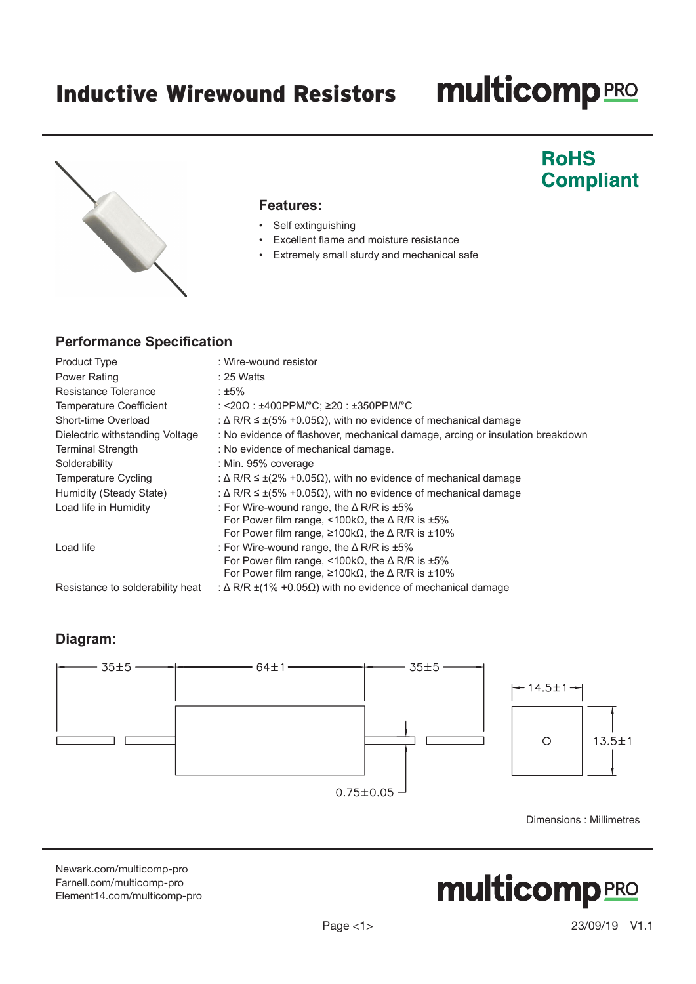### **multicomp**PRO

### **RoHS Compliant**



#### **Features:**

- Self extinguishing
- Excellent flame and moisture resistance
- Extremely small sturdy and mechanical safe

#### **Performance Specification**

| <b>Product Type</b>              | : Wire-wound resistor                                                                                                                                                                                  |
|----------------------------------|--------------------------------------------------------------------------------------------------------------------------------------------------------------------------------------------------------|
| <b>Power Rating</b>              | $: 25$ Watts                                                                                                                                                                                           |
| Resistance Tolerance             | ∶±5%                                                                                                                                                                                                   |
| Temperature Coefficient          | : <20Ω : ±400PPM/°C; ≥20 : ±350PPM/°C                                                                                                                                                                  |
| Short-time Overload              | : $\Delta$ R/R $\leq \pm (5\% + 0.05\Omega)$ , with no evidence of mechanical damage                                                                                                                   |
| Dielectric withstanding Voltage  | : No evidence of flashover, mechanical damage, arcing or insulation breakdown                                                                                                                          |
| <b>Terminal Strength</b>         | : No evidence of mechanical damage.                                                                                                                                                                    |
| Solderability                    | : Min. 95% coverage                                                                                                                                                                                    |
| Temperature Cycling              | : $\Delta$ R/R $\leq \pm (2\% + 0.05\Omega)$ , with no evidence of mechanical damage                                                                                                                   |
| Humidity (Steady State)          | : $\Delta$ R/R $\leq \pm (5\% + 0.05\Omega)$ , with no evidence of mechanical damage                                                                                                                   |
| Load life in Humidity            | : For Wire-wound range, the $\Delta$ R/R is $\pm 5\%$<br>For Power film range, <100k $\Omega$ , the $\Delta$ R/R is ±5%<br>For Power film range, $\geq 100k\Omega$ , the $\Delta$ R/R is ±10%          |
| Load life                        | : For Wire-wound range, the $\triangle$ R/R is $\pm 5\%$<br>For Power film range, <100k $\Omega$ , the $\Delta$ R/R is ±5%<br>For Power film range, $\geq 100k\Omega$ , the $\Delta$ R/R is $\pm 10\%$ |
| Resistance to solderability heat | : $\Delta$ R/R $\pm$ (1% +0.05 $\Omega$ ) with no evidence of mechanical damage                                                                                                                        |

#### **Diagram:**



Dimensions : Millimetres

[Newark.com/multicomp-](https://www.newark.com/multicomp-pro)pro [Farnell.com/multicomp](https://www.farnell.com/multicomp-pro)-pro [Element14.com/multicomp-pro](https://element14.com/multicomp-pro)

# **multicomp**PRO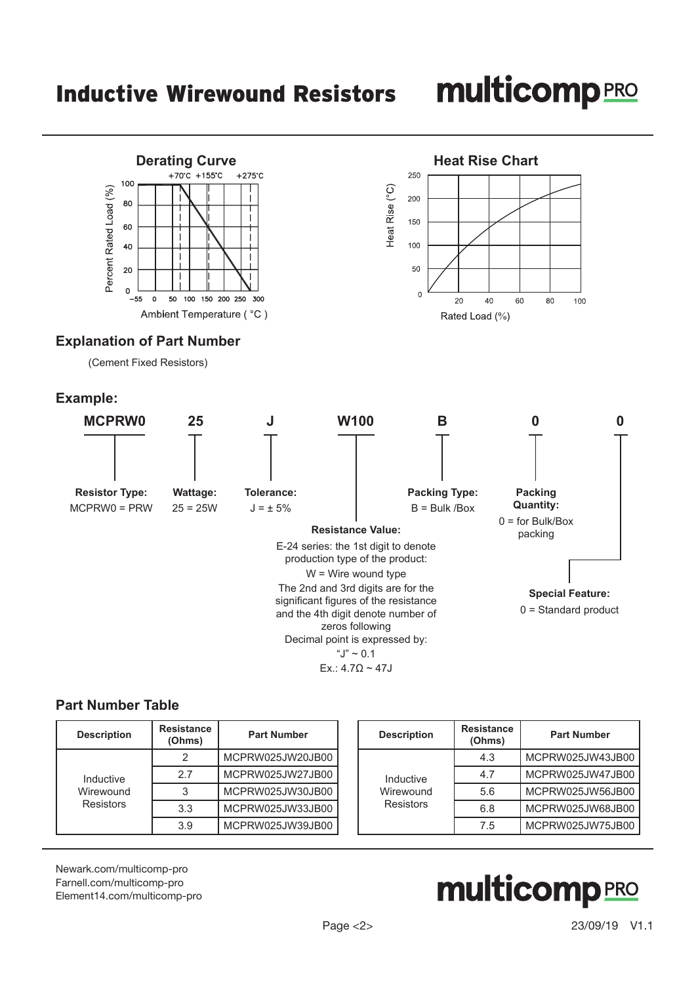## **multicomp**PRO



#### **Part Number Table**

| <b>Description</b>                         | Resistance<br>(Ohms) | <b>Part Number</b> |           | <b>Description</b> | <b>Resistance</b><br>(Ohms) | <b>Part Number</b> |
|--------------------------------------------|----------------------|--------------------|-----------|--------------------|-----------------------------|--------------------|
| Inductive<br>Wirewound<br><b>Resistors</b> |                      | MCPRW025JW20JB00   |           | Inductive          | 4.3                         | MCPRW025JW43JB00   |
|                                            | 2.7                  | MCPRW025JW27JB00   |           |                    | 4.7                         | MCPRW025JW47JB00   |
|                                            |                      | MCPRW025JW30JB00   | Wirewound | 5.6                | MCPRW025JW56JB00            |                    |
|                                            | 3.3                  | MCPRW025JW33JB00   |           | Resistors          | 6.8                         | MCPRW025JW68JB00   |
|                                            | 3.9                  | MCPRW025JW39JB00   |           | 7.5                | MCPRW025JW75JB00            |                    |

[Newark.com/multicomp-](https://www.newark.com/multicomp-pro)pro [Farnell.com/multicomp](https://www.farnell.com/multicomp-pro)-pro [Element14.com/multicomp-pro](https://element14.com/multicomp-pro)